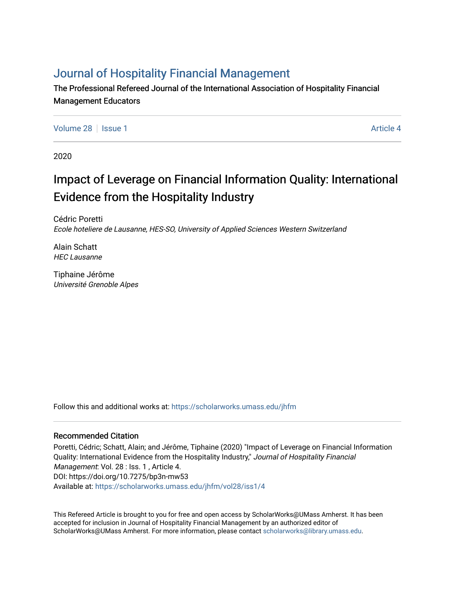# [Journal of Hospitality Financial Management](https://scholarworks.umass.edu/jhfm)

The Professional Refereed Journal of the International Association of Hospitality Financial Management Educators

[Volume 28](https://scholarworks.umass.edu/jhfm/vol28) | [Issue 1](https://scholarworks.umass.edu/jhfm/vol28/iss1) Article 4

2020

# Impact of Leverage on Financial Information Quality: International Evidence from the Hospitality Industry

Cédric Poretti Ecole hoteliere de Lausanne, HES-SO, University of Applied Sciences Western Switzerland

Alain Schatt HEC Lausanne

Tiphaine Jérôme Université Grenoble Alpes

Follow this and additional works at: [https://scholarworks.umass.edu/jhfm](https://scholarworks.umass.edu/jhfm?utm_source=scholarworks.umass.edu%2Fjhfm%2Fvol28%2Fiss1%2F4&utm_medium=PDF&utm_campaign=PDFCoverPages) 

# Recommended Citation

Poretti, Cédric; Schatt, Alain; and Jérôme, Tiphaine (2020) "Impact of Leverage on Financial Information Quality: International Evidence from the Hospitality Industry," Journal of Hospitality Financial Management: Vol. 28 : Iss. 1, Article 4. DOI: https://doi.org/10.7275/bp3n-mw53 Available at: [https://scholarworks.umass.edu/jhfm/vol28/iss1/4](https://scholarworks.umass.edu/jhfm/vol28/iss1/4?utm_source=scholarworks.umass.edu%2Fjhfm%2Fvol28%2Fiss1%2F4&utm_medium=PDF&utm_campaign=PDFCoverPages) 

This Refereed Article is brought to you for free and open access by ScholarWorks@UMass Amherst. It has been accepted for inclusion in Journal of Hospitality Financial Management by an authorized editor of ScholarWorks@UMass Amherst. For more information, please contact [scholarworks@library.umass.edu.](mailto:scholarworks@library.umass.edu)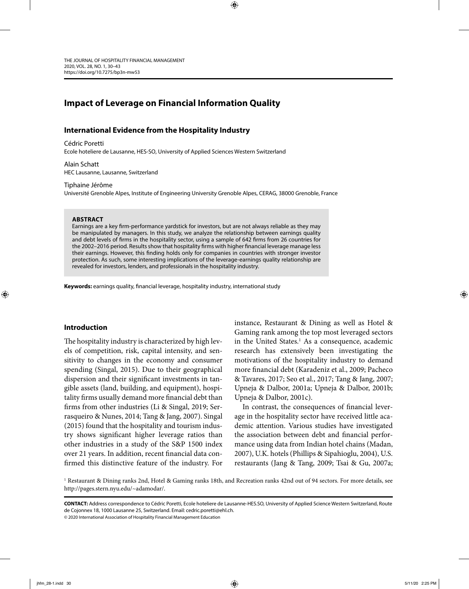# **Impact of Leverage on Financial Information Quality**

# **International Evidence from the Hospitality Industry**

Cédric Poretti

Ecole hoteliere de Lausanne, HES-SO, University of Applied Sciences Western Switzerland

Alain Schatt HEC Lausanne, Lausanne, Switzerland

#### Tiphaine Jérôme

Université Grenoble Alpes, Institute of Engineering University Grenoble Alpes, CERAG, 38000 Grenoble, France

⊕

#### **ABSTRACT**

Earnings are a key firm-performance yardstick for investors, but are not always reliable as they may be manipulated by managers. In this study, we analyze the relationship between earnings quality and debt levels of firms in the hospitality sector, using a sample of 642 firms from 26 countries for the 2002-2016 period. Results show that hospitality firms with higher financial leverage manage less their earnings. However, this finding holds only for companies in countries with stronger investor protection. As such, some interesting implications of the leverage- earnings quality relationship are revealed for investors, lenders, and professionals in the hospitality industry.

Keywords: earnings quality, financial leverage, hospitality industry, international study

#### **Introduction**

⊕

The hospitality industry is characterized by high levels of competition, risk, capital intensity, and sensitivity to changes in the economy and consumer spending (Singal, 2015). Due to their geographical dispersion and their significant investments in tangible assets (land, building, and equipment), hospitality firms usually demand more financial debt than firms from other industries (Li & Singal, 2019; Serrasqueiro & Nunes, 2014; Tang & Jang, 2007). Singal (2015) found that the hospitality and tourism industry shows significant higher leverage ratios than other industries in a study of the S&P 1500 index over 21 years. In addition, recent financial data confirmed this distinctive feature of the industry. For

instance, Restaurant & Dining as well as Hotel & Gaming rank among the top most leveraged sectors in the United States.<sup>1</sup> As a consequence, academic research has extensively been investigating the motivations of the hospitality industry to demand more financial debt (Karadeniz et al., 2009; Pacheco & Tavares, 2017; Seo et al., 2017; Tang & Jang, 2007; Upneja & Dalbor, 2001a; Upneja & Dalbor, 2001b; Upneja & Dalbor, 2001c).

In contrast, the consequences of financial leverage in the hospitality sector have received little academic attention. Various studies have investigated the association between debt and financial performance using data from Indian hotel chains (Madan, 2007), U.K. hotels (Phillips & Sipahioglu, 2004), U.S. restaurants (Jang & Tang, 2009; Tsai & Gu, 2007a;

1 Restaurant & Dining ranks 2nd, Hotel & Gaming ranks 18th, and Recreation ranks 42nd out of 94 sectors. For more details, see http://pages.stern.nyu.edu/~adamodar/.

**CONTACT:** Address correspondence to Cédric Poretti, Ecole hoteliere de Lausanne-HES.SO, University of Applied Science Western Switzerland, Route de Cojonnex 18, 1000 Lausanne 25, Switzerland. Email: cedric.poretti@ehl.ch.

© 2020 International Association of Hospitality Financial Management Education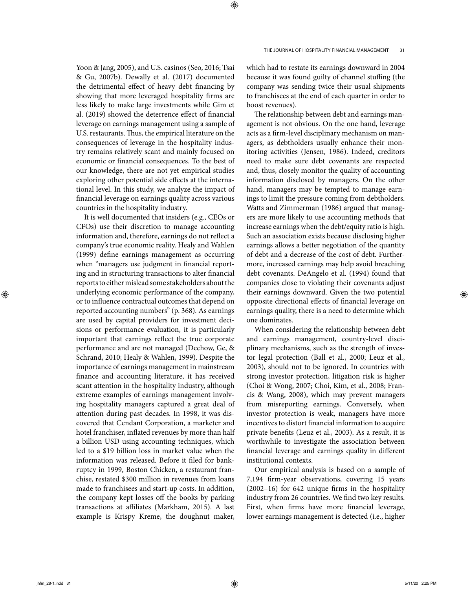Yoon & Jang, 2005), and U.S. casinos (Seo, 2016; Tsai & Gu, 2007b). Dewally et al. (2017) documented the detrimental effect of heavy debt financing by showing that more leveraged hospitality firms are less likely to make large investments while Gim et al. (2019) showed the deterrence effect of financial leverage on earnings management using a sample of U.S. restaurants. Thus, the empirical literature on the consequences of leverage in the hospitality industry remains relatively scant and mainly focused on economic or financial consequences. To the best of our knowledge, there are not yet empirical studies exploring other potential side effects at the international level. In this study, we analyze the impact of financial leverage on earnings quality across various countries in the hospitality industry.

It is well documented that insiders (e.g., CEOs or CFOs) use their discretion to manage accounting information and, therefore, earnings do not reflect a company's true economic reality. Healy and Wahlen (1999) define earnings management as occurring when "managers use judgment in financial reporting and in structuring transactions to alter financial reports to either mislead some stakeholders about the underlying economic performance of the company, or to influence contractual outcomes that depend on reported accounting numbers" (p. 368). As earnings are used by capital providers for investment decisions or performance evaluation, it is particularly important that earnings reflect the true corporate performance and are not managed (Dechow, Ge, & Schrand, 2010; Healy & Wahlen, 1999). Despite the importance of earnings management in mainstream finance and accounting literature, it has received scant attention in the hospitality industry, although extreme examples of earnings management involving hospitality managers captured a great deal of attention during past decades. In 1998, it was discovered that Cendant Corporation, a marketer and hotel franchiser, inflated revenues by more than half a billion USD using accounting techniques, which led to a \$19 billion loss in market value when the information was released. Before it filed for bankruptcy in 1999, Boston Chicken, a restaurant franchise, restated \$300 million in revenues from loans made to franchisees and start-up costs. In addition, the company kept losses off the books by parking transactions at affiliates (Markham, 2015). A last example is Krispy Kreme, the doughnut maker,

which had to restate its earnings downward in 2004 because it was found guilty of channel stuffing (the company was sending twice their usual shipments to franchisees at the end of each quarter in order to boost revenues).

The relationship between debt and earnings management is not obvious. On the one hand, leverage acts as a firm-level disciplinary mechanism on managers, as debtholders usually enhance their monitoring activities (Jensen, 1986). Indeed, creditors need to make sure debt covenants are respected and, thus, closely monitor the quality of accounting information disclosed by managers. On the other hand, managers may be tempted to manage earnings to limit the pressure coming from debtholders. Watts and Zimmerman (1986) argued that managers are more likely to use accounting methods that increase earnings when the debt/equity ratio is high. Such an association exists because disclosing higher earnings allows a better negotiation of the quantity of debt and a decrease of the cost of debt. Furthermore, increased earnings may help avoid breaching debt covenants. DeAngelo et al. (1994) found that companies close to violating their covenants adjust their earnings downward. Given the two potential opposite directional effects of financial leverage on earnings quality, there is a need to determine which one dominates.

When considering the relationship between debt and earnings management, country-level disciplinary mechanisms, such as the strength of investor legal protection (Ball et al., 2000; Leuz et al., 2003), should not to be ignored. In countries with strong investor protection, litigation risk is higher (Choi & Wong, 2007; Choi, Kim, et al., 2008; Francis & Wang, 2008), which may prevent managers from misreporting earnings. Conversely, when investor protection is weak, managers have more incentives to distort financial information to acquire private benefits (Leuz et al., 2003). As a result, it is worthwhile to investigate the association between financial leverage and earnings quality in different institutional contexts.

Our empirical analysis is based on a sample of 7,194 firm-year observations, covering 15 years  $(2002-16)$  for 642 unique firms in the hospitality industry from 26 countries. We find two key results. First, when firms have more financial leverage, lower earnings management is detected (i.e., higher

⊕

jhfm\_28-1.indd 31 **hfm\_28-1.indd 31 hfm\_28-1.indd 31 hfm\_28-1.indd 31 hfm\_28-1.indd 31 hfm\_28-1.indd 31 hfm\_28-1.indd 31**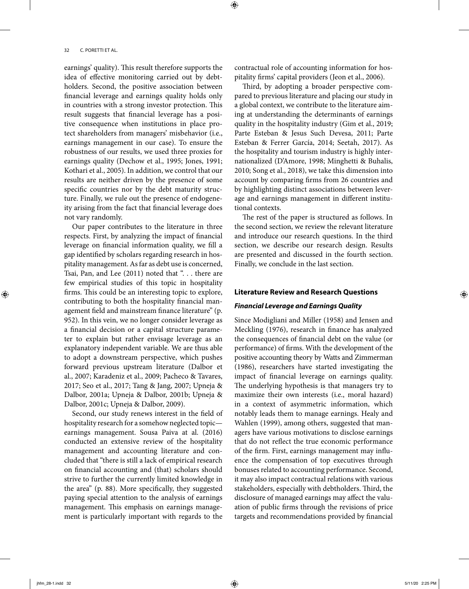earnings' quality). This result therefore supports the idea of effective monitoring carried out by debtholders. Second, the positive association between financial leverage and earnings quality holds only in countries with a strong investor protection. This result suggests that financial leverage has a positive consequence when institutions in place protect shareholders from managers' misbehavior (i.e., earnings management in our case). To ensure the robustness of our results, we used three proxies for earnings quality (Dechow et al., 1995; Jones, 1991; Kothari et al., 2005). In addition, we control that our results are neither driven by the presence of some specific countries nor by the debt maturity structure. Finally, we rule out the presence of endogeneity arising from the fact that financial leverage does not vary randomly.

Our paper contributes to the literature in three respects. First, by analyzing the impact of financial leverage on financial information quality, we fill a gap identified by scholars regarding research in hospitality management. As far as debt use is concerned, Tsai, Pan, and Lee (2011) noted that ". . . there are few empirical studies of this topic in hospitality firms. This could be an interesting topic to explore, contributing to both the hospitality financial management field and mainstream finance literature" (p. 952). In this vein, we no longer consider leverage as a financial decision or a capital structure parameter to explain but rather envisage leverage as an explanatory independent variable. We are thus able to adopt a downstream perspective, which pushes forward previous upstream literature (Dalbor et al., 2007; Karadeniz et al., 2009; Pacheco & Tavares, 2017; Seo et al., 2017; Tang & Jang, 2007; Upneja & Dalbor, 2001a; Upneja & Dalbor, 2001b; Upneja & Dalbor, 2001c; Upneja & Dalbor, 2009).

Second, our study renews interest in the field of hospitality research for a somehow neglected topic earnings management. Sousa Paiva at al. (2016) conducted an extensive review of the hospitality management and accounting literature and concluded that "there is still a lack of empirical research on financial accounting and (that) scholars should strive to further the currently limited knowledge in the area" (p. 88). More specifically, they suggested paying special attention to the analysis of earnings management. This emphasis on earnings management is particularly important with regards to the

contractual role of accounting information for hospitality firms' capital providers (Jeon et al., 2006).

Third, by adopting a broader perspective compared to previous literature and placing our study in a global context, we contribute to the literature aiming at understanding the determinants of earnings quality in the hospitality industry (Gim et al., 2019; Parte Esteban & Jesus Such Devesa, 2011; Parte Esteban & Ferrer García, 2014; Seetah, 2017). As the hospitality and tourism industry is highly internationalized (D'Amore, 1998; Minghetti & Buhalis, 2010; Song et al., 2018), we take this dimension into account by comparing firms from 26 countries and by highlighting distinct associations between leverage and earnings management in different institutional contexts.

The rest of the paper is structured as follows. In the second section, we review the relevant literature and introduce our research questions. In the third section, we describe our research design. Results are presented and discussed in the fourth section. Finally, we conclude in the last section.

#### **Literature Review and Research Questions**

#### **Financial Leverage and Earnings Quality**

Since Modigliani and Miller (1958) and Jensen and Meckling (1976), research in finance has analyzed the consequences of financial debt on the value (or performance) of firms. With the development of the positive accounting theory by Watts and Zimmerman (1986), researchers have started investigating the impact of financial leverage on earnings quality. The underlying hypothesis is that managers try to maximize their own interests (i.e., moral hazard) in a context of asymmetric information, which notably leads them to manage earnings. Healy and Wahlen (1999), among others, suggested that managers have various motivations to disclose earnings that do not reflect the true economic performance of the firm. First, earnings management may influence the compensation of top executives through bonuses related to accounting performance. Second, it may also impact contractual relations with various stakeholders, especially with debtholders. Third, the disclosure of managed earnings may affect the valuation of public firms through the revisions of price targets and recommendations provided by financial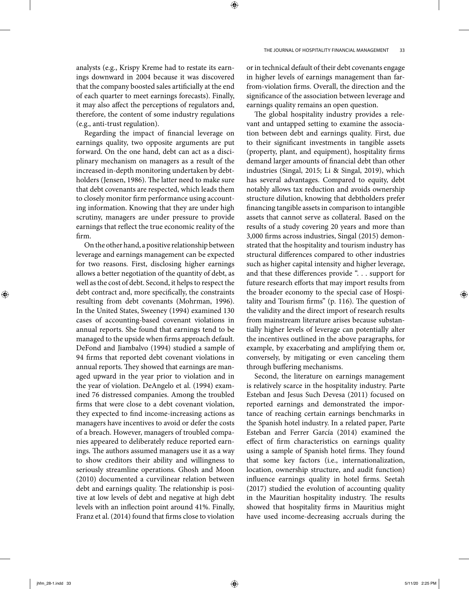analysts (e.g., Krispy Kreme had to restate its earnings downward in 2004 because it was discovered that the company boosted sales artificially at the end of each quarter to meet earnings forecasts). Finally, it may also affect the perceptions of regulators and, therefore, the content of some industry regulations (e.g., anti- trust regulation).

Regarding the impact of financial leverage on earnings quality, two opposite arguments are put forward. On the one hand, debt can act as a disciplinary mechanism on managers as a result of the increased in- depth monitoring undertaken by debtholders (Jensen, 1986). The latter need to make sure that debt covenants are respected, which leads them to closely monitor firm performance using accounting information. Knowing that they are under high scrutiny, managers are under pressure to provide earnings that reflect the true economic reality of the firm.

On the other hand, a positive relationship between leverage and earnings management can be expected for two reasons. First, disclosing higher earnings allows a better negotiation of the quantity of debt, as well as the cost of debt. Second, it helps to respect the debt contract and, more specifically, the constraints resulting from debt covenants (Mohrman, 1996). In the United States, Sweeney (1994) examined 130 cases of accounting- based covenant violations in annual reports. She found that earnings tend to be managed to the upside when firms approach default. DeFond and Jiambalvo (1994) studied a sample of 94 firms that reported debt covenant violations in annual reports. They showed that earnings are managed upward in the year prior to violation and in the year of violation. DeAngelo et al. (1994) examined 76 distressed companies. Among the troubled firms that were close to a debt covenant violation, they expected to find income-increasing actions as managers have incentives to avoid or defer the costs of a breach. However, managers of troubled companies appeared to deliberately reduce reported earnings. The authors assumed managers use it as a way to show creditors their ability and willingness to seriously streamline operations. Ghosh and Moon (2010) documented a curvilinear relation between debt and earnings quality. The relationship is positive at low levels of debt and negative at high debt levels with an inflection point around 41%. Finally, Franz et al. (2014) found that firms close to violation

or in technical default of their debt covenants engage in higher levels of earnings management than farfrom-violation firms. Overall, the direction and the significance of the association between leverage and earnings quality remains an open question.

The global hospitality industry provides a relevant and untapped setting to examine the association between debt and earnings quality. First, due to their significant investments in tangible assets (property, plant, and equipment), hospitality firms demand larger amounts of financial debt than other industries (Singal, 2015; Li & Singal, 2019), which has several advantages. Compared to equity, debt notably allows tax reduction and avoids ownership structure dilution, knowing that debtholders prefer financing tangible assets in comparison to intangible assets that cannot serve as collateral. Based on the results of a study covering 20 years and more than 3,000 firms across industries, Singal (2015) demonstrated that the hospitality and tourism industry has structural differences compared to other industries such as higher capital intensity and higher leverage, and that these differences provide ". . . support for future research efforts that may import results from the broader economy to the special case of Hospitality and Tourism firms" (p.  $116$ ). The question of the validity and the direct import of research results from mainstream literature arises because substantially higher levels of leverage can potentially alter the incentives outlined in the above paragraphs, for example, by exacerbating and amplifying them or, conversely, by mitigating or even canceling them through buffering mechanisms.

Second, the literature on earnings management is relatively scarce in the hospitality industry. Parte Esteban and Jesus Such Devesa (2011) focused on reported earnings and demonstrated the importance of reaching certain earnings benchmarks in the Spanish hotel industry. In a related paper, Parte Esteban and Ferrer García (2014) examined the effect of firm characteristics on earnings quality using a sample of Spanish hotel firms. They found that some key factors (i.e., internationalization, location, ownership structure, and audit function) influence earnings quality in hotel firms. Seetah (2017) studied the evolution of accounting quality in the Mauritian hospitality industry. The results showed that hospitality firms in Mauritius might have used income- decreasing accruals during the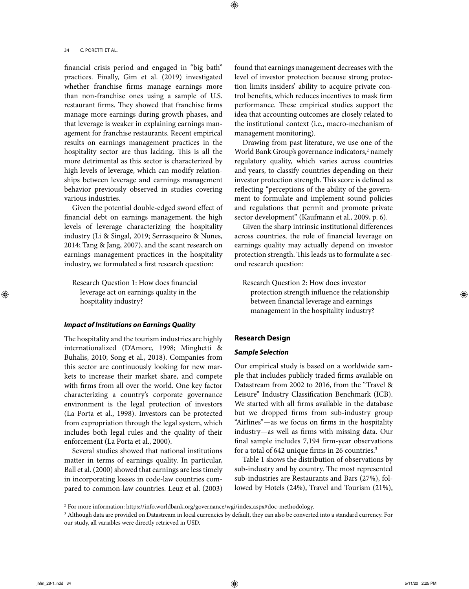financial crisis period and engaged in "big bath" practices. Finally, Gim et al. (2019) investigated whether franchise firms manage earnings more than non- franchise ones using a sample of U.S. restaurant firms. They showed that franchise firms manage more earnings during growth phases, and that leverage is weaker in explaining earnings management for franchise restaurants. Recent empirical results on earnings management practices in the hospitality sector are thus lacking. This is all the more detrimental as this sector is characterized by high levels of leverage, which can modify relationships between leverage and earnings management behavior previously observed in studies covering various industries.

Given the potential double-edged sword effect of financial debt on earnings management, the high levels of leverage characterizing the hospitality industry (Li & Singal, 2019; Serrasqueiro & Nunes, 2014; Tang & Jang, 2007), and the scant research on earnings management practices in the hospitality industry, we formulated a first research question:

Research Question 1: How does financial leverage act on earnings quality in the hospitality industry?

#### **Impact of Institutions on Earnings Quality**

The hospitality and the tourism industries are highly internationalized (D'Amore, 1998; Minghetti & Buhalis, 2010; Song et al., 2018). Companies from this sector are continuously looking for new markets to increase their market share, and compete with firms from all over the world. One key factor characterizing a country's corporate governance environment is the legal protection of investors (La Porta et al., 1998). Investors can be protected from expropriation through the legal system, which includes both legal rules and the quality of their enforcement (La Porta et al., 2000).

Several studies showed that national institutions matter in terms of earnings quality. In particular, Ball et al. (2000) showed that earnings are less timely in incorporating losses in code-law countries compared to common-law countries. Leuz et al. (2003)

found that earnings management decreases with the level of investor protection because strong protection limits insiders' ability to acquire private control benefits, which reduces incentives to mask firm performance. These empirical studies support the idea that accounting outcomes are closely related to the institutional context (i.e., macro- mechanism of management monitoring).

Drawing from past literature, we use one of the World Bank Group's governance indicators,<sup>2</sup> namely regulatory quality, which varies across countries and years, to classify countries depending on their investor protection strength. This score is defined as reflecting "perceptions of the ability of the government to formulate and implement sound policies and regulations that permit and promote private sector development" (Kaufmann et al., 2009, p. 6).

Given the sharp intrinsic institutional differences across countries, the role of financial leverage on earnings quality may actually depend on investor protection strength. This leads us to formulate a second research question:

Research Question 2: How does investor protection strength influence the relationship between financial leverage and earnings management in the hospitality industry?

# **Research Design**

⊕

# **Sample Selection**

Our empirical study is based on a worldwide sample that includes publicly traded firms available on Datastream from 2002 to 2016, from the "Travel & Leisure" Industry Classification Benchmark (ICB). We started with all firms available in the database but we dropped firms from sub-industry group "Airlines"—as we focus on firms in the hospitality industry—as well as firms with missing data. Our final sample includes 7,194 firm-year observations for a total of  $642$  unique firms in 26 countries.<sup>3</sup>

Table 1 shows the distribution of observations by sub-industry and by country. The most represented sub- industries are Restaurants and Bars (27%), followed by Hotels (24%), Travel and Tourism (21%),

<sup>2</sup> For more information: https://info.worldbank.org/governance/wgi/index.aspx#doc-methodology.

<sup>3</sup> Although data are provided on Datastream in local currencies by default, they can also be converted into a standard currency. For our study, all variables were directly retrieved in USD.

⊕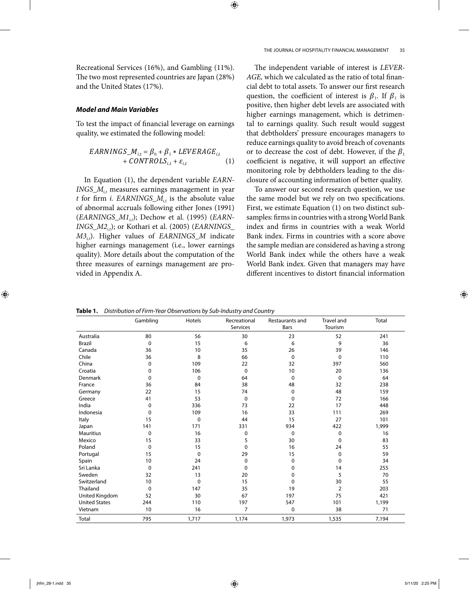⊕

#### THE JOURNAL OF HOSPITALITY FINANCIAL MANAGEMENT 35

Recreational Services (16%), and Gambling (11%). The two most represented countries are Japan (28%) and the United States (17%).

#### **Model and Main Variables**

To test the impact of financial leverage on earnings quality, we estimated the following model:

$$
EARNINGS_M_{i,t} = \beta_0 + \beta_1 * LEVERAGE_{i,t}
$$
  
+ 
$$
CONTROLS_{i,t} + \varepsilon_{i,t}
$$
 (1)

In Equation (1), the dependent variable EARN- $INGS_M$ <sub>it</sub> measures earnings management in year t for firm *i. EARNINGS\_M<sub>it</sub>* is the absolute value of abnormal accruals following either Jones (1991)  $(EARNINGS_M1_{i,t})$ ; Dechow et al. (1995) (EARN- $INGS_M2_{i}$ ); or Kothari et al. (2005) (EARNINGS\_  $M3_{i}$ ). Higher values of EARNINGS\_M indicate higher earnings management (i.e., lower earnings quality). More details about the computation of the three measures of earnings management are provided in Appendix A.

The independent variable of interest is LEVER-AGE, which we calculated as the ratio of total financial debt to total assets. To answer our first research question, the coefficient of interest is  $\beta_1$ . If  $\beta_1$  is positive, then higher debt levels are associated with higher earnings management, which is detrimental to earnings quality. Such result would suggest that debtholders' pressure encourages managers to reduce earnings quality to avoid breach of covenants or to decrease the cost of debt. However, if the  $\beta_1$ coefficient is negative, it will support an effective monitoring role by debtholders leading to the disclosure of accounting information of better quality.

To answer our second research question, we use the same model but we rely on two specifications. First, we estimate Equation (1) on two distinct subsamples: firms in countries with a strong World Bank index and firms in countries with a weak World Bank index. Firms in countries with a score above the sample median are considered as having a strong World Bank index while the others have a weak World Bank index. Given that managers may have different incentives to distort financial information

Table 1. Distribution of Firm-Year Observations by Sub-Industry and Country

|                      | Gambling    | Hotels      | Recreational<br>Services | Restaurants and<br>Bars | <b>Travel and</b><br>Tourism | <b>Total</b> |
|----------------------|-------------|-------------|--------------------------|-------------------------|------------------------------|--------------|
| Australia            | 80          | 56          | 30                       | 23                      | 52                           | 241          |
| <b>Brazil</b>        | $\mathbf 0$ | 15          | 6                        | 6                       | 9                            | 36           |
| Canada               | 36          | 10          | 35                       | 26                      | 39                           | 146          |
| Chile                | 36          | 8           | 66                       | 0                       | 0                            | 110          |
| China                | 0           | 109         | 22                       | 32                      | 397                          | 560          |
| Croatia              | 0           | 106         | $\mathbf 0$              | 10                      | 20                           | 136          |
| <b>Denmark</b>       | 0           | $\Omega$    | 64                       | $\Omega$                | 0                            | 64           |
| France               | 36          | 84          | 38                       | 48                      | 32                           | 238          |
| Germany              | 22          | 15          | 74                       | 0                       | 48                           | 159          |
| Greece               | 41          | 53          | $\mathbf 0$              | 0                       | 72                           | 166          |
| India                | $\mathbf 0$ | 336         | 73                       | 22                      | 17                           | 448          |
| Indonesia            | $\mathbf 0$ | 109         | 16                       | 33                      | 111                          | 269          |
| Italy                | 15          | 0           | 44                       | 15                      | 27                           | 101          |
| Japan                | 141         | 171         | 331                      | 934                     | 422                          | 1,999        |
| <b>Mauritius</b>     | $\Omega$    | 16          | 0                        | 0                       | 0                            | 16           |
| Mexico               | 15          | 33          | 5                        | 30                      | $\mathbf 0$                  | 83           |
| Poland               | $\mathbf 0$ | 15          | 0                        | 16                      | 24                           | 55           |
| Portugal             | 15          | $\mathbf 0$ | 29                       | 15                      | 0                            | 59           |
| Spain                | 10          | 24          | 0                        | 0                       | $\Omega$                     | 34           |
| Sri Lanka            | $\Omega$    | 241         | $\Omega$                 | 0                       | 14                           | 255          |
| Sweden               | 32          | 13          | 20                       | $\Omega$                | 5                            | 70           |
| Switzerland          | 10          | 0           | 15                       | 0                       | 30                           | 55           |
| Thailand             | $\mathbf 0$ | 147         | 35                       | 19                      | $\overline{2}$               | 203          |
| United Kingdom       | 52          | 30          | 67                       | 197                     | 75                           | 421          |
| <b>United States</b> | 244         | 110         | 197                      | 547                     | 101                          | 1,199        |
| Vietnam              | 10          | 16          | 7                        | 0                       | 38                           | 71           |
| Total                | 795         | 1,717       | 1,174                    | 1,973                   | 1,535                        | 7,194        |

◈

jhfm\_28-1.indd 35  $5/11/20$  2:25 PM  $\langle \bigoplus \}$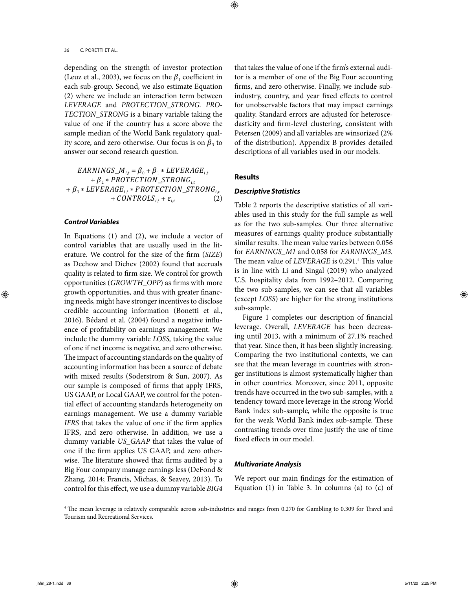depending on the strength of investor protection (Leuz et al., 2003), we focus on the  $\beta_1$  coefficient in each sub-group. Second, we also estimate Equation (2) where we include an interaction term between LEVERAGE and PROTECTION\_STRONG. PRO-TECTION\_STRONG is a binary variable taking the value of one if the country has a score above the sample median of the World Bank regulatory quality score, and zero otherwise. Our focus is on  $\beta_3$  to answer our second research question.

$$
EARNINGS\_M_{i,t} = \beta_0 + \beta_1 * LEVERAGE_{i,t} + \beta_2 * PROTECTION\_STRONG_{i,t} + \beta_3 * LEVERAGE_{i,t} * PROTECTION\_STRONG_{i,t} + CONTROLS_{i,t} + \varepsilon_{i,t}
$$
 (2)

#### **Control Variables**

◈

In Equations (1) and (2), we include a vector of control variables that are usually used in the literature. We control for the size of the firm (SIZE) as Dechow and Dichev (2002) found that accruals quality is related to firm size. We control for growth opportunities (GROWTH\_OPP) as firms with more growth opportunities, and thus with greater financing needs, might have stronger incentives to disclose credible accounting information (Bonetti et al.,  $2016$ ). Bédard et al.  $(2004)$  found a negative influence of profitability on earnings management. We include the dummy variable LOSS, taking the value of one if net income is negative, and zero otherwise. The impact of accounting standards on the quality of accounting information has been a source of debate with mixed results (Soderstrom & Sun, 2007). As our sample is composed of firms that apply IFRS, US GAAP, or Local GAAP, we control for the potential effect of accounting standards heterogeneity on earnings management. We use a dummy variable IFRS that takes the value of one if the firm applies IFRS, and zero otherwise. In addition, we use a dummy variable US\_GAAP that takes the value of one if the firm applies US GAAP, and zero otherwise. The literature showed that firms audited by a Big Four company manage earnings less (DeFond & Zhang, 2014; Francis, Michas, & Seavey, 2013). To control for this effect, we use a dummy variable BIG4

that takes the value of one if the firm's external auditor is a member of one of the Big Four accounting firms, and zero otherwise. Finally, we include subindustry, country, and year fixed effects to control for unobservable factors that may impact earnings quality. Standard errors are adjusted for heteroscedasticity and firm-level clustering, consistent with Petersen (2009) and all variables are winsorized (2% of the distribution). Appendix B provides detailed descriptions of all variables used in our models.

#### **Results**

⊕

# **Descriptive Statistics**

Table 2 reports the descriptive statistics of all variables used in this study for the full sample as well as for the two sub-samples. Our three alternative measures of earnings quality produce substantially similar results. The mean value varies between 0.056 for EARNINGS\_M1 and 0.058 for EARNINGS\_M3. The mean value of LEVERAGE is 0.291.<sup>4</sup> This value is in line with Li and Singal (2019) who analyzed U.S. hospitality data from 1992–2012. Comparing the two sub- samples, we can see that all variables (except LOSS) are higher for the strong institutions sub- sample.

Figure 1 completes our description of financial leverage. Overall, LEVERAGE has been decreasing until 2013, with a minimum of 27.1% reached that year. Since then, it has been slightly increasing. Comparing the two institutional contexts, we can see that the mean leverage in countries with stronger institutions is almost systematically higher than in other countries. Moreover, since 2011, opposite trends have occurred in the two sub- samples, with a tendency toward more leverage in the strong World Bank index sub- sample, while the opposite is true for the weak World Bank index sub-sample. These contrasting trends over time justify the use of time fixed effects in our model.

### **Multivariate Analysis**

We report our main findings for the estimation of Equation (1) in Table 3. In columns (a) to (c) of

<sup>4</sup> The mean leverage is relatively comparable across sub-industries and ranges from 0.270 for Gambling to 0.309 for Travel and Tourism and Recreational Services.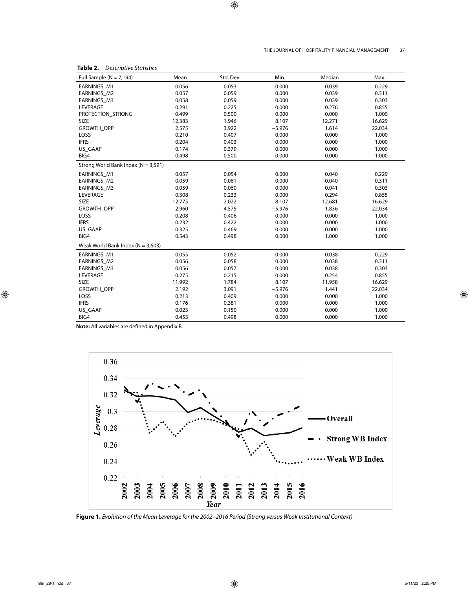| ۰.<br>I |
|---------|

| THE JOURNAL OF HOSPITALITY FINANCIAL MANAGEMENT |  |
|-------------------------------------------------|--|
|-------------------------------------------------|--|

| .<br><b>DESCRIPTIVE STATISTICS</b>      |        |           |          |        |        |  |  |
|-----------------------------------------|--------|-----------|----------|--------|--------|--|--|
| Full Sample ( $N = 7,194$ )             | Mean   | Std. Dev. | Min.     | Median | Max.   |  |  |
| EARNINGS_M1                             | 0.056  | 0.053     | 0.000    | 0.039  | 0.229  |  |  |
| EARNINGS_M2                             | 0.057  | 0.059     | 0.000    | 0.039  | 0.311  |  |  |
| <b>EARNINGS M3</b>                      | 0.058  | 0.059     | 0.000    | 0.039  | 0.303  |  |  |
| LEVERAGE                                | 0.291  | 0.225     | 0.000    | 0.276  | 0.855  |  |  |
| PROTECTION_STRONG                       | 0.499  | 0.500     | 0.000    | 0.000  | 1.000  |  |  |
| <b>SIZE</b>                             | 12.383 | 1.946     | 8.107    | 12.271 | 16.629 |  |  |
| GROWTH_OPP                              | 2.575  | 3.922     | $-5.976$ | 1.614  | 22.034 |  |  |
| LOSS                                    | 0.210  | 0.407     | 0.000    | 0.000  | 1.000  |  |  |
| <b>IFRS</b>                             | 0.204  | 0.403     | 0.000    | 0.000  | 1.000  |  |  |
| US GAAP                                 | 0.174  | 0.379     | 0.000    | 0.000  | 1.000  |  |  |
| BIG4                                    | 0.498  | 0.500     | 0.000    | 0.000  | 1.000  |  |  |
| Strong World Bank Index ( $N = 3,591$ ) |        |           |          |        |        |  |  |
| <b>EARNINGS M1</b>                      | 0.057  | 0.054     | 0.000    | 0.040  | 0.229  |  |  |
| EARNINGS_M2                             | 0.059  | 0.061     | 0.000    | 0.040  | 0.311  |  |  |
| EARNINGS_M3                             | 0.059  | 0.060     | 0.000    | 0.041  | 0.303  |  |  |
| LEVERAGE                                | 0.308  | 0.233     | 0.000    | 0.294  | 0.855  |  |  |
| <b>SIZE</b>                             | 12.775 | 2.022     | 8.107    | 12.681 | 16.629 |  |  |
| GROWTH_OPP                              | 2.960  | 4.575     | $-5.976$ | 1.836  | 22.034 |  |  |
| LOSS                                    | 0.208  | 0.406     | 0.000    | 0.000  | 1.000  |  |  |
| <b>IFRS</b>                             | 0.232  | 0.422     | 0.000    | 0.000  | 1.000  |  |  |
| US_GAAP                                 | 0.325  | 0.469     | 0.000    | 0.000  | 1.000  |  |  |
| BIG4                                    | 0.543  | 0.498     | 0.000    | 1.000  | 1.000  |  |  |
| Weak World Bank Index ( $N = 3,603$ )   |        |           |          |        |        |  |  |
| <b>EARNINGS M1</b>                      | 0.055  | 0.052     | 0.000    | 0.038  | 0.229  |  |  |
| <b>EARNINGS M2</b>                      | 0.056  | 0.058     | 0.000    | 0.038  | 0.311  |  |  |
| EARNINGS_M3                             | 0.056  | 0.057     | 0.000    | 0.038  | 0.303  |  |  |
| LEVERAGE                                | 0.275  | 0.215     | 0.000    | 0.254  | 0.855  |  |  |
| <b>SIZE</b>                             | 11.992 | 1.784     | 8.107    | 11.958 | 16.629 |  |  |
| <b>GROWTH OPP</b>                       | 2.192  | 3.091     | $-5.976$ | 1.441  | 22.034 |  |  |
| LOSS                                    | 0.213  | 0.409     | 0.000    | 0.000  | 1.000  |  |  |
| <b>IFRS</b>                             | 0.176  | 0.381     | 0.000    | 0.000  | 1.000  |  |  |
| US_GAAP                                 | 0.023  | 0.150     | 0.000    | 0.000  | 1.000  |  |  |
| BIG4                                    | 0.453  | 0.498     | 0.000    | 0.000  | 1.000  |  |  |

**Note:** All variables are defined in Appendix B.





 $\bigoplus$ 

 $\bigoplus$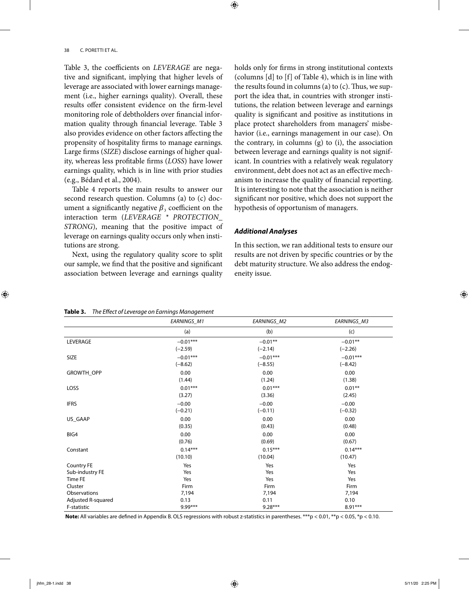Table 3, the coefficients on LEVERAGE are negative and significant, implying that higher levels of leverage are associated with lower earnings management (i.e., higher earnings quality). Overall, these results offer consistent evidence on the firm-level monitoring role of debtholders over financial information quality through financial leverage. Table 3 also provides evidence on other factors affecting the propensity of hospitality firms to manage earnings. Large firms (SIZE) disclose earnings of higher quality, whereas less profitable firms (LOSS) have lower earnings quality, which is in line with prior studies (e.g., Bédard et al., 2004).

Table 4 reports the main results to answer our second research question. Columns (a) to (c) document a significantly negative  $\beta_3$  coefficient on the interaction term (LEVERAGE \* PROTECTION\_ STRONG), meaning that the positive impact of leverage on earnings quality occurs only when institutions are strong.

Next, using the regulatory quality score to split our sample, we find that the positive and significant association between leverage and earnings quality holds only for firms in strong institutional contexts (columns [d] to [f] of Table 4), which is in line with the results found in columns (a) to  $(c)$ . Thus, we support the idea that, in countries with stronger institutions, the relation between leverage and earnings quality is significant and positive as institutions in place protect shareholders from managers' misbehavior (i.e., earnings management in our case). On the contrary, in columns (g) to (i), the association between leverage and earnings quality is not significant. In countries with a relatively weak regulatory environment, debt does not act as an effective mechanism to increase the quality of financial reporting. It is interesting to note that the association is neither significant nor positive, which does not support the hypothesis of opportunism of managers.

# **Additional Analyses**

⊕

In this section, we ran additional tests to ensure our results are not driven by specific countries or by the debt maturity structure. We also address the endogeneity issue.

|                    | EARNINGS_M1 | EARNINGS_M2 | EARNINGS_M3 |
|--------------------|-------------|-------------|-------------|
|                    | (a)         | (b)         | (c)         |
| LEVERAGE           | $-0.01***$  | $-0.01**$   | $-0.01**$   |
|                    | $(-2.59)$   | $(-2.14)$   | $(-2.26)$   |
| SIZE               | $-0.01***$  | $-0.01***$  | $-0.01***$  |
|                    | $(-8.62)$   | $(-8.55)$   | $(-8.42)$   |
| GROWTH_OPP         | 0.00        | 0.00        | 0.00        |
|                    | (1.44)      | (1.24)      | (1.38)      |
| LOSS               | $0.01***$   | $0.01***$   | $0.01***$   |
|                    | (3.27)      | (3.36)      | (2.45)      |
| <b>IFRS</b>        | $-0.00$     | $-0.00$     | $-0.00$     |
|                    | $(-0.21)$   | $(-0.11)$   | $(-0.32)$   |
| US_GAAP            | 0.00        | 0.00        | 0.00        |
|                    | (0.35)      | (0.43)      | (0.48)      |
| BIG4               | 0.00        | 0.00        | 0.00        |
|                    | (0.76)      | (0.69)      | (0.67)      |
| Constant           | $0.14***$   | $0.15***$   | $0.14***$   |
|                    | (10.10)     | (10.04)     | (10.47)     |
| Country FE         | Yes         | Yes         | Yes         |
| Sub-industry FE    | Yes         | Yes         | Yes         |
| Time FE            | Yes         | Yes         | Yes         |
| Cluster            | Firm        | Firm        | Firm        |
| Observations       | 7,194       | 7,194       | 7,194       |
| Adjusted R-squared | 0.13        | 0.11        | 0.10        |
| F-statistic        | $9.99***$   | $9.28***$   | $8.91***$   |

Note: All variables are defined in Appendix B. OLS regressions with robust z-statistics in parentheses. \*\*\*p < 0.01, \*\*p < 0.05, \*p < 0.10.

**Table 3.** The Effect of Leverage on Earnings Management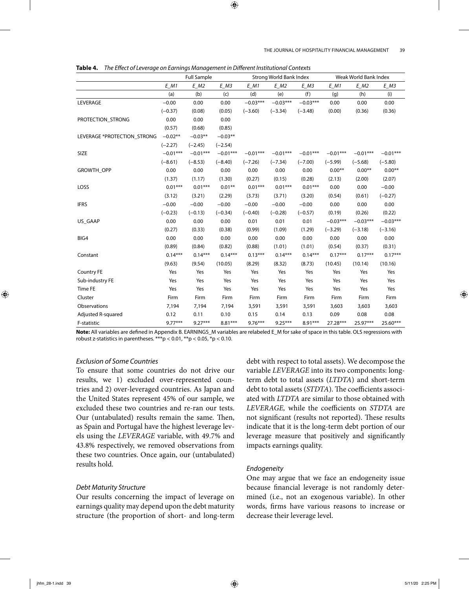#### THE JOURNAL OF HOSPITALITY FINANCIAL MANAGEMENT 39

| Table 4. The Effect of Leverage on Earnings Management in Different Institutional Contexts |  |
|--------------------------------------------------------------------------------------------|--|
|--------------------------------------------------------------------------------------------|--|

|                             | <b>Full Sample</b> |                                 |            | Strong World Bank Index |                    |            | Weak World Bank Index |                       |            |
|-----------------------------|--------------------|---------------------------------|------------|-------------------------|--------------------|------------|-----------------------|-----------------------|------------|
|                             | $E$ <sub>M1</sub>  | $E$ <sub>_</sub> M <sub>2</sub> | $E$ M3     | $E$ M1                  | $E$ M <sub>2</sub> | $E$ $M3$   | $E$ M1                | $E$ <sub>-</sub> $M2$ | $E$ $M3$   |
|                             | (a)                | (b)                             | (c)        | (d)                     | (e)                | (f)        | (g)                   | (h)                   | (i)        |
| LEVERAGE                    | $-0.00$            | 0.00                            | 0.00       | $-0.03***$              | $-0.03***$         | $-0.03***$ | 0.00                  | 0.00                  | 0.00       |
|                             | $(-0.37)$          | (0.08)                          | (0.05)     | $(-3.60)$               | $(-3.34)$          | $(-3.48)$  | (0.00)                | (0.36)                | (0.36)     |
| PROTECTION_STRONG           | 0.00               | 0.00                            | 0.00       |                         |                    |            |                       |                       |            |
|                             | (0.57)             | (0.68)                          | (0.85)     |                         |                    |            |                       |                       |            |
| LEVERAGE *PROTECTION_STRONG | $-0.02**$          | $-0.03**$                       | $-0.03**$  |                         |                    |            |                       |                       |            |
|                             | $(-2.27)$          | $(-2.45)$                       | $(-2.54)$  |                         |                    |            |                       |                       |            |
| SIZE                        | $-0.01***$         | $-0.01***$                      | $-0.01***$ | $-0.01***$              | $-0.01***$         | $-0.01***$ | $-0.01***$            | $-0.01***$            | $-0.01***$ |
|                             | $(-8.61)$          | $(-8.53)$                       | $(-8.40)$  | $(-7.26)$               | $(-7.34)$          | $(-7.00)$  | $(-5.99)$             | $(-5.68)$             | $(-5.80)$  |
| GROWTH_OPP                  | 0.00               | 0.00                            | 0.00       | 0.00                    | 0.00               | 0.00       | $0.00**$              | $0.00**$              | $0.00**$   |
|                             | (1.37)             | (1.17)                          | (1.30)     | (0.27)                  | (0.15)             | (0.28)     | (2.13)                | (2.00)                | (2.07)     |
| LOSS                        | $0.01***$          | $0.01***$                       | $0.01***$  | $0.01***$               | $0.01***$          | $0.01***$  | 0.00                  | 0.00                  | $-0.00$    |
|                             | (3.12)             | (3.21)                          | (2.29)     | (3.73)                  | (3.71)             | (3.20)     | (0.54)                | (0.61)                | $(-0.27)$  |
| <b>IFRS</b>                 | $-0.00$            | $-0.00$                         | $-0.00$    | $-0.00$                 | $-0.00$            | $-0.00$    | 0.00                  | 0.00                  | 0.00       |
|                             | $(-0.23)$          | $(-0.13)$                       | $(-0.34)$  | $(-0.40)$               | $(-0.28)$          | $(-0.57)$  | (0.19)                | (0.26)                | (0.22)     |
| US_GAAP                     | 0.00               | 0.00                            | 0.00       | 0.01                    | 0.01               | 0.01       | $-0.03***$            | $-0.03***$            | $-0.03***$ |
|                             | (0.27)             | (0.33)                          | (0.38)     | (0.99)                  | (1.09)             | (1.29)     | $(-3.29)$             | $(-3.18)$             | $(-3.16)$  |
| BIG4                        | 0.00               | 0.00                            | 0.00       | 0.00                    | 0.00               | 0.00       | 0.00                  | 0.00                  | 0.00       |
|                             | (0.89)             | (0.84)                          | (0.82)     | (0.88)                  | (1.01)             | (1.01)     | (0.54)                | (0.37)                | (0.31)     |
| Constant                    | $0.14***$          | $0.14***$                       | $0.14***$  | $0.13***$               | $0.14***$          | $0.14***$  | $0.17***$             | $0.17***$             | $0.17***$  |
|                             | (9.63)             | (9.54)                          | (10.05)    | (8.29)                  | (8.32)             | (8.73)     | (10.45)               | (10.14)               | (10.16)    |
| <b>Country FE</b>           | Yes                | Yes                             | Yes        | Yes                     | Yes                | Yes        | Yes                   | Yes                   | Yes        |
| Sub-industry FE             | Yes                | Yes                             | Yes        | Yes                     | Yes                | Yes        | Yes                   | Yes                   | Yes        |
| Time FE                     | Yes                | Yes                             | Yes        | Yes                     | Yes                | Yes        | Yes                   | Yes                   | Yes        |
| Cluster                     | Firm               | Firm                            | Firm       | Firm                    | Firm               | Firm       | Firm                  | Firm                  | Firm       |
| Observations                | 7,194              | 7,194                           | 7,194      | 3,591                   | 3,591              | 3,591      | 3,603                 | 3,603                 | 3,603      |
| Adjusted R-squared          | 0.12               | 0.11                            | 0.10       | 0.15                    | 0.14               | 0.13       | 0.09                  | 0.08                  | 0.08       |
| F-statistic                 | $9.77***$          | $9.27***$                       | $8.81***$  | $9.76***$               | $9.25***$          | $8.91***$  | 27.28***              | 25.97***              | $25.60***$ |

**Note:** All variables are defined in Appendix B. EARNINGS M variables are relabeled E\_M for sake of space in this table. OLS regressions with robust z-statistics in parentheses.  $***p$  < 0.01,  $**p$  < 0.05,  $*p$  < 0.10.

# Exclusion of Some Countries

To ensure that some countries do not drive our results, we 1) excluded over- represented countries and 2) over-leveraged countries. As Japan and the United States represent 45% of our sample, we excluded these two countries and re-ran our tests. Our (untabulated) results remain the same. Then, as Spain and Portugal have the highest leverage levels using the LEVERAGE variable, with 49.7% and 43.8% respectively, we removed observations from these two countries. Once again, our (untabulated) results hold.

# Debt Maturity Structure

Our results concerning the impact of leverage on earnings quality may depend upon the debt maturity structure (the proportion of short- and long-term

debt with respect to total assets). We decompose the variable LEVERAGE into its two components: longterm debt to total assets (LTDTA) and short-term debt to total assets (STDTA). The coefficients associated with LTDTA are similar to those obtained with LEVERAGE, while the coefficients on STDTA are not significant (results not reported). These results indicate that it is the long- term debt portion of our leverage measure that positively and significantly impacts earnings quality.

#### Endogeneity

One may argue that we face an endogeneity issue because financial leverage is not randomly determined (i.e., not an exogenous variable). In other words, firms have various reasons to increase or decrease their leverage level.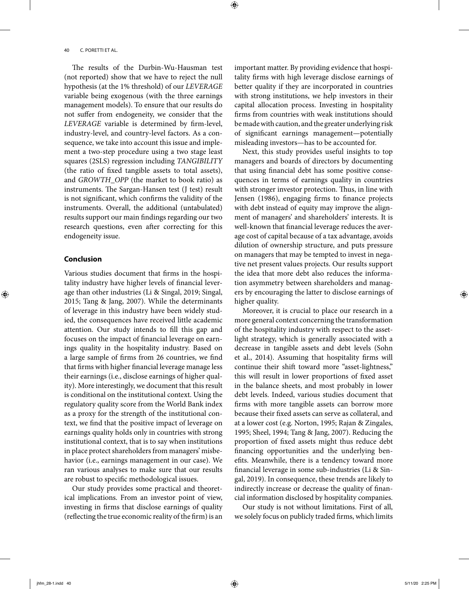The results of the Durbin-Wu-Hausman test (not reported) show that we have to reject the null hypothesis (at the 1% threshold) of our LEVERAGE variable being exogenous (with the three earnings management models). To ensure that our results do not suffer from endogeneity, we consider that the LEVERAGE variable is determined by firm-level, industry-level, and country- level factors. As a consequence, we take into account this issue and implement a two-step procedure using a two stage least squares (2SLS) regression including TANGIBILITY (the ratio of fixed tangible assets to total assets), and GROWTH\_OPP (the market to book ratio) as instruments. The Sargan-Hansen test (J test) result is not significant, which confirms the validity of the instruments. Overall, the additional (untabulated) results support our main findings regarding our two research questions, even after correcting for this endogeneity issue.

# **Conclusion**

◈

Various studies document that firms in the hospitality industry have higher levels of financial leverage than other industries (Li & Singal, 2019; Singal, 2015; Tang & Jang, 2007). While the determinants of leverage in this industry have been widely studied, the consequences have received little academic attention. Our study intends to fill this gap and focuses on the impact of financial leverage on earnings quality in the hospitality industry. Based on a large sample of firms from 26 countries, we find that firms with higher financial leverage manage less their earnings (i.e., disclose earnings of higher quality). More interestingly, we document that this result is conditional on the institutional context. Using the regulatory quality score from the World Bank index as a proxy for the strength of the institutional context, we find that the positive impact of leverage on earnings quality holds only in countries with strong institutional context, that is to say when institutions in place protect shareholders from managers' misbehavior (i.e., earnings management in our case). We ran various analyses to make sure that our results are robust to specific methodological issues.

Our study provides some practical and theoretical implications. From an investor point of view, investing in firms that disclose earnings of quality (reflecting the true economic reality of the firm) is an important matter. By providing evidence that hospitality firms with high leverage disclose earnings of better quality if they are incorporated in countries with strong institutions, we help investors in their capital allocation process. Investing in hospitality firms from countries with weak institutions should be made with caution, and the greater underlying risk of significant earnings management—potentially misleading investors— has to be accounted for.

Next, this study provides useful insights to top managers and boards of directors by documenting that using financial debt has some positive consequences in terms of earnings quality in countries with stronger investor protection. Thus, in line with Jensen (1986), engaging firms to finance projects with debt instead of equity may improve the alignment of managers' and shareholders' interests. It is well-known that financial leverage reduces the average cost of capital because of a tax advantage, avoids dilution of ownership structure, and puts pressure on managers that may be tempted to invest in negative net present values projects. Our results support the idea that more debt also reduces the information asymmetry between shareholders and managers by encouraging the latter to disclose earnings of higher quality.

Moreover, it is crucial to place our research in a more general context concerning the transformation of the hospitality industry with respect to the assetlight strategy, which is generally associated with a decrease in tangible assets and debt levels (Sohn et al., 2014). Assuming that hospitality firms will continue their shift toward more "asset-lightness," this will result in lower proportions of fixed asset in the balance sheets, and most probably in lower debt levels. Indeed, various studies document that firms with more tangible assets can borrow more because their fixed assets can serve as collateral, and at a lower cost (e.g. Norton, 1995; Rajan & Zingales, 1995; Sheel, 1994; Tang & Jang, 2007). Reducing the proportion of fixed assets might thus reduce debt financing opportunities and the underlying benefits. Meanwhile, there is a tendency toward more financial leverage in some sub-industries (Li & Singal, 2019). In consequence, these trends are likely to indirectly increase or decrease the quality of financial information disclosed by hospitality companies.

Our study is not without limitations. First of all, we solely focus on publicly traded firms, which limits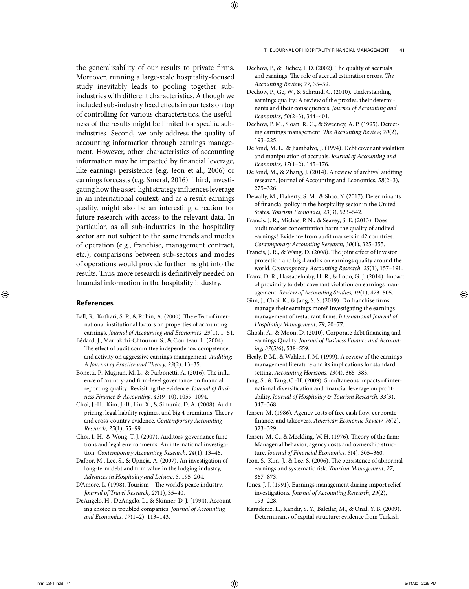the generalizability of our results to private firms. Moreover, running a large- scale hospitality- focused study inevitably leads to pooling together subindustries with different characteristics. Although we included sub-industry fixed effects in our tests on top of controlling for various characteristics, the usefulness of the results might be limited for specific subindustries. Second, we only address the quality of accounting information through earnings management. However, other characteristics of accounting information may be impacted by financial leverage, like earnings persistence (e.g. Jeon et al., 2006) or earnings forecasts (e.g. Smeral, 2016). Third, investigating how the asset-light strategy influences leverage in an international context, and as a result earnings quality, might also be an interesting direction for future research with access to the relevant data. In particular, as all sub-industries in the hospitality sector are not subject to the same trends and modes of operation (e.g., franchise, management contract, etc.), comparisons between sub- sectors and modes of operations would provide further insight into the results. Thus, more research is definitively needed on financial information in the hospitality industry.

# **References**

◈

Ball, R., Kothari, S. P., & Robin, A. (2000). The effect of international institutional factors on properties of accounting earnings. Journal of Accounting and Economics, 29(1), 1-51.

- Bédard, J., Marrakchi- Chtourou, S., & Courteau, L. (2004). The effect of audit committee independence, competence, and activity on aggressive earnings management. Auditing: A Journal of Practice and Theory, 23(2), 13-35.
- Bonetti, P., Magnan, M. L., & Parbonetti, A. (2016). The influence of country-and firm-level governance on financial reporting quality: Revisiting the evidence. Journal of Business Finance & Accounting, 43(9-10), 1059-1094.
- Choi, J.- H., Kim, J.- B., Liu, X., & Simunic, D. A. (2008). Audit pricing, legal liability regimes, and big 4 premiums: Theory and cross- country evidence. Contemporary Accounting Research, 25(1), 55-99.
- Choi, J.- H., & Wong, T. J. (2007). Auditors' governance functions and legal environments: An international investigation. Contemporary Accounting Research, 24(1), 13-46.
- Dalbor, M., Lee, S., & Upneja, A. (2007). An investigation of long-term debt and firm value in the lodging industry, Advances in Hospitality and Leisure, 3, 195-204.
- D'Amore, L. (1998). Tourism—The world's peace industry. Journal of Travel Research, 27(1), 35-40.
- DeAngelo, H., DeAngelo, L., & Skinner, D. J. (1994). Accounting choice in troubled companies. Journal of Accounting and Economics, 17(1-2), 113-143.

#### THE JOURNAL OF HOSPITALITY FINANCIAL MANAGEMENT 41

- Dechow, P., & Dichev, I. D. (2002). The quality of accruals and earnings: The role of accrual estimation errors. The Accounting Review, 77, 35-59.
- Dechow, P., Ge, W., & Schrand, C. (2010). Understanding earnings quality: A review of the proxies, their determinants and their consequences. Journal of Accounting and Economics, 50(2-3), 344-401.
- Dechow, P. M., Sloan, R. G., & Sweeney, A. P. (1995). Detecting earnings management. The Accounting Review,  $70(2)$ , 193– 225.
- DeFond, M. L., & Jiambalvo, J. (1994). Debt covenant violation and manipulation of accruals. Journal of Accounting and Economics, 17(1-2), 145-176.
- DeFond, M., & Zhang, J. (2014). A review of archival auditing research. Journal of Accounting and Economics, 58(2-3), 275– 326.
- Dewally, M., Flaherty, S. M., & Shao, Y. (2017). Determinants of financial policy in the hospitality sector in the United States. Tourism Economics, 23(3), 523-542.

Francis, J. R., Michas, P. N., & Seavey, S. E. (2013). Does audit market concentration harm the quality of audited earnings? Evidence from audit markets in 42 countries. Contemporary Accounting Research, 30(1), 325– 355.

- Francis, J. R., & Wang, D. (2008). The joint effect of investor protection and big 4 audits on earnings quality around the world. Contemporary Accounting Research, 25(1), 157– 191.
- Franz, D. R., Hassabelnaby, H. R., & Lobo, G. J. (2014). Impact of proximity to debt covenant violation on earnings management. Review of Accounting Studies, 19(1), 473-505.
- Gim, J., Choi, K., & Jang, S. S. (2019). Do franchise firms manage their earnings more? Investigating the earnings management of restaurant firms. International Journal of Hospitality Management, 79, 70-77.
- Ghosh, A., & Moon, D. (2010). Corporate debt financing and earnings Quality. Journal of Business Finance and Accounting, 37(5/6), 538-559.
- Healy, P. M., & Wahlen, J. M. (1999). A review of the earnings management literature and its implications for standard setting. Accounting Horizons, 13(4), 365-383.
- Jang, S., & Tang, C.-H. (2009). Simultaneous impacts of international diversification and financial leverage on profitability. Journal of Hospitality & Tourism Research, 33(3), 347– 368.
- Jensen, M. (1986). Agency costs of free cash flow, corporate finance, and takeovers. American Economic Review, 76(2), 323– 329.
- Jensen, M. C., & Meckling, W. H. (1976). Theory of the firm: Managerial behavior, agency costs and ownership structure. Journal of Financial Economics, 3(4), 305-360.
- Jeon, S., Kim, J., & Lee, S. (2006). The persistence of abnormal earnings and systematic risk. Tourism Management, 27, 867– 873.
- Jones, J. J. (1991). Earnings management during import relief investigations. Journal of Accounting Research, 29(2), 193– 228.
- Karadeniz, E., Kandir, S. Y., Balcilar, M., & Onal, Y. B. (2009). Determinants of capital structure: evidence from Turkish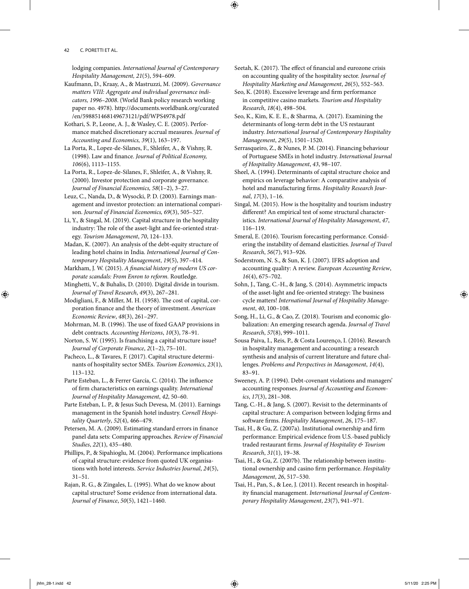lodging companies. International Journal of Contemporary Hospitality Management, 21(5), 594-609.

Kaufmann, D., Kraay, A., & Mastruzzi, M. (2009). Governance matters VIII: Aggregate and individual governance indicators, 1996–2008. (World Bank policy research working paper no. 4978). http://documents.worldbank.org/curated /en/598851468149673121/pdf/WPS4978.pdf

Kothari, S. P., Leone, A. J., & Wasley, C. E. (2005). Performance matched discretionary accrual measures. Journal of Accounting and Economics, 39(1), 163-197.

La Porta, R., Lopez- de- Silanes, F., Shleifer, A., & Vishny, R. (1998). Law and finance. Journal of Political Economy, 106(6), 1113– 1155.

La Porta, R., Lopez- de- Silanes, F., Shleifer, A., & Vishny, R. (2000). Investor protection and corporate governance. Journal of Financial Economics,  $58(1-2)$ ,  $3-27$ .

Leuz, C., Nanda, D., & Wysocki, P. D. (2003). Earnings management and investor protection: an international comparison. Journal of Financial Economics, 69(3), 505-527.

Li, Y., & Singal, M. (2019). Capital structure in the hospitality industry: The role of the asset-light and fee-oriented strategy. Tourism Management, 70, 124-133.

Madan, K. (2007). An analysis of the debt- equity structure of leading hotel chains in India. International Journal of Contemporary Hospitality Management, 19(5), 397-414.

Markham, J. W. (2015). A financial history of modern US corporate scandals: From Enron to reform. Routledge.

Minghetti, V., & Buhalis, D. (2010). Digital divide in tourism. Journal of Travel Research, 49(3), 267-281.

Modigliani, F., & Miller, M. H. (1958). The cost of capital, corporation finance and the theory of investment. American Economic Review, 48(3), 261-297.

Mohrman, M. B. (1996). The use of fixed GAAP provisions in debt contracts. Accounting Horizons, 10(3), 78-91.

Norton, S. W. (1995). Is franchising a capital structure issue? Journal of Corporate Finance,  $2(1-2)$ , 75-101.

Pacheco, L., & Tavares, F. (2017). Capital structure determinants of hospitality sector SMEs. Tourism Economics, 23(1), 113– 132.

Parte Esteban, L., & Ferrer García, C. (2014). The influence of firm characteristics on earnings quality. International Journal of Hospitality Management, 42, 50-60.

Parte Esteban, L. P., & Jesus Such Devesa, M. (2011). Earnings management in the Spanish hotel industry. Cornell Hospitality Quarterly, 52(4), 466-479.

Petersen, M. A. (2009). Estimating standard errors in finance panel data sets: Comparing approaches. Review of Financial Studies, 22(1), 435-480.

Phillips, P., & Sipahioglu, M. (2004). Performance implications of capital structure: evidence from quoted UK organisations with hotel interests. Service Industries Journal, 24(5),  $31 - 51.$ 

Rajan, R. G., & Zingales, L. (1995). What do we know about capital structure? Some evidence from international data. Journal of Finance, 50(5), 1421– 1460.

Seetah, K. (2017). The effect of financial and eurozone crisis on accounting quality of the hospitality sector. Journal of Hospitality Marketing and Management, 26(5), 552-563.

⊕

Seo, K. (2018). Excessive leverage and firm performance in competitive casino markets. Tourism and Hospitality Research, 18(4), 498-504.

Seo, K., Kim, K. E. E., & Sharma, A. (2017). Examining the determinants of long- term debt in the US restaurant industry. International Journal of Contemporary Hospitality Management, 29(5), 1501-1520.

Serrasqueiro, Z., & Nunes, P. M. (2014). Financing behaviour of Portuguese SMEs in hotel industry. International Journal of Hospitality Management, 43, 98-107.

Sheel, A. (1994). Determinants of capital structure choice and empirics on leverage behavior: A comparative analysis of hotel and manufacturing firms. Hospitality Research Journal, 17(3), 1-16.

Singal, M. (2015). How is the hospitality and tourism industry different? An empirical test of some structural characteristics. International Journal of Hospitality Management, 47, 116– 119.

Smeral, E. (2016). Tourism forecasting performance. Considering the instability of demand elasticities. Journal of Travel Research, 56(7), 913-926.

Soderstrom, N. S., & Sun, K. J. (2007). IFRS adoption and accounting quality: A review. European Accounting Review, 16(4), 675– 702.

Sohn, J., Tang, C.-H., & Jang, S. (2014). Asymmetric impacts of the asset-light and fee-oriented strategy: The business cycle matters! International Journal of Hospitality Management, 40, 100-108.

Song, H., Li, G., & Cao, Z. (2018). Tourism and economic globalization: An emerging research agenda. Journal of Travel Research, 57(8), 999– 1011.

Sousa Paiva, I., Reis, P., & Costa Lourenço, I. (2016). Research in hospitality management and accounting: a research synthesis and analysis of current literature and future challenges. Problems and Perspectives in Management, 14(4), 83– 91.

Sweeney, A. P. (1994). Debt- covenant violations and managers' accounting responses. Journal of Accounting and Econom $ics, 17(3), 281-308.$ 

Tang, C.- H., & Jang, S. (2007). Revisit to the determinants of capital structure: A comparison between lodging firms and software firms. Hospitality Management, 26, 175-187.

Tsai, H., & Gu, Z. (2007a). Institutional ownership and firm performance: Empirical evidence from U.S.-based publicly traded restaurant firms. Journal of Hospitality & Tourism Research, 31(1), 19-38.

Tsai, H., & Gu, Z. (2007b). The relationship between institutional ownership and casino firm performance. Hospitality Management, 26, 517-530.

Tsai, H., Pan, S., & Lee, J. (2011). Recent research in hospitality financial management. International Journal of Contemporary Hospitality Management, 23(7), 941-971.

⊕